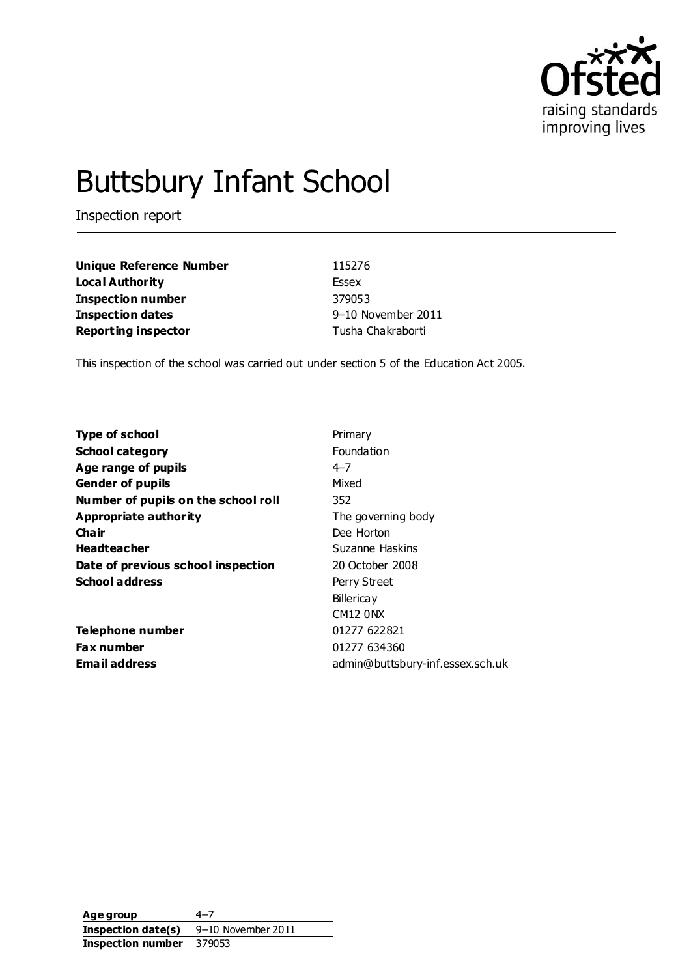

# Buttsbury Infant School

Inspection report

| Unique Reference Number    | 115276             |
|----------------------------|--------------------|
| Loca l Authority           | <b>Essex</b>       |
| Inspection number          | 379053             |
| Inspection dates           | 9-10 November 2011 |
| <b>Reporting inspector</b> | Tusha Chakraborti  |

This inspection of the school was carried out under section 5 of the Education Act 2005.

| <b>Type of school</b>               | Primary                          |
|-------------------------------------|----------------------------------|
| <b>School category</b>              | <b>Foundation</b>                |
| Age range of pupils                 | 4–7                              |
| <b>Gender of pupils</b>             | Mixed                            |
| Number of pupils on the school roll | 352                              |
| Appropriate authority               | The governing body               |
| Cha ir                              | Dee Horton                       |
| <b>Headteacher</b>                  | Suzanne Haskins                  |
| Date of previous school inspection  | 20 October 2008                  |
| <b>School address</b>               | Perry Street                     |
|                                     | <b>Billerica y</b>               |
|                                     | <b>CM12 0NX</b>                  |
| Telephone number                    | 01277 622821                     |
| <b>Fax number</b>                   | 01277 634360                     |
| <b>Email address</b>                | admin@buttsbury-inf.essex.sch.uk |

**Age group** 4–7 **Inspection date(s)** 9–10 November 2011 **Inspection number** 379053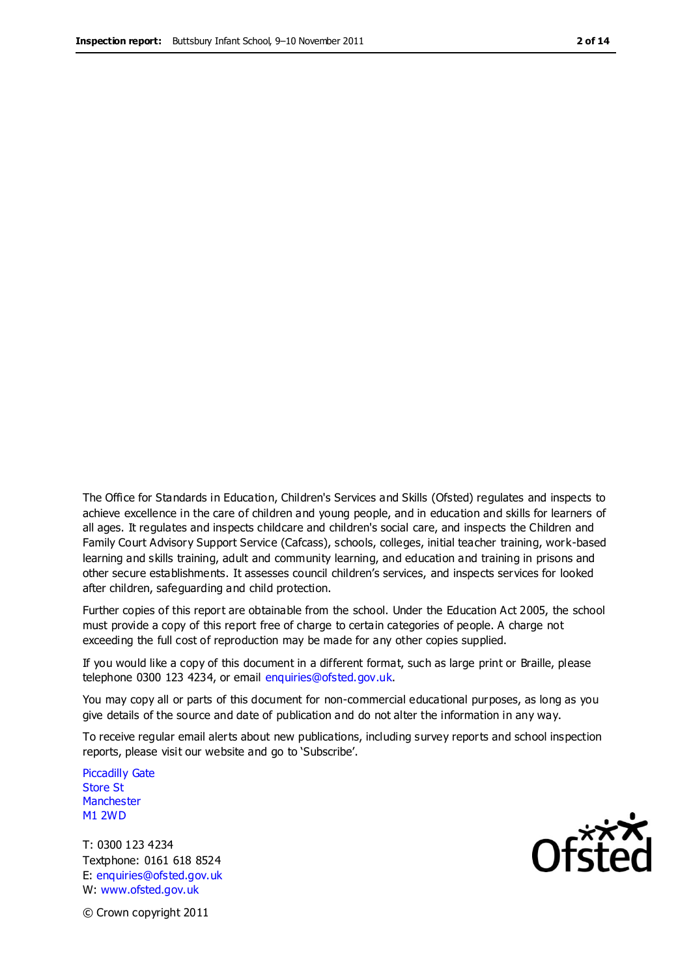The Office for Standards in Education, Children's Services and Skills (Ofsted) regulates and inspects to achieve excellence in the care of children and young people, and in education and skills for learners of all ages. It regulates and inspects childcare and children's social care, and inspects the Children and Family Court Advisory Support Service (Cafcass), schools, colleges, initial teacher training, work-based learning and skills training, adult and community learning, and education and training in prisons and other secure establishments. It assesses council children's services, and inspects services for looked after children, safeguarding and child protection.

Further copies of this report are obtainable from the school. Under the Education Act 2005, the school must provide a copy of this report free of charge to certain categories of people. A charge not exceeding the full cost of reproduction may be made for any other copies supplied.

If you would like a copy of this document in a different format, such as large print or Braille, please telephone 0300 123 4234, or email enquiries@ofsted.gov.uk.

You may copy all or parts of this document for non-commercial educational purposes, as long as you give details of the source and date of publication and do not alter the information in any way.

To receive regular email alerts about new publications, including survey reports and school inspection reports, please visit our website and go to 'Subscribe'.

Piccadilly Gate Store St **Manchester** M1 2WD

T: 0300 123 4234 Textphone: 0161 618 8524 E: enquiries@ofsted.gov.uk W: www.ofsted.gov.uk

© Crown copyright 2011

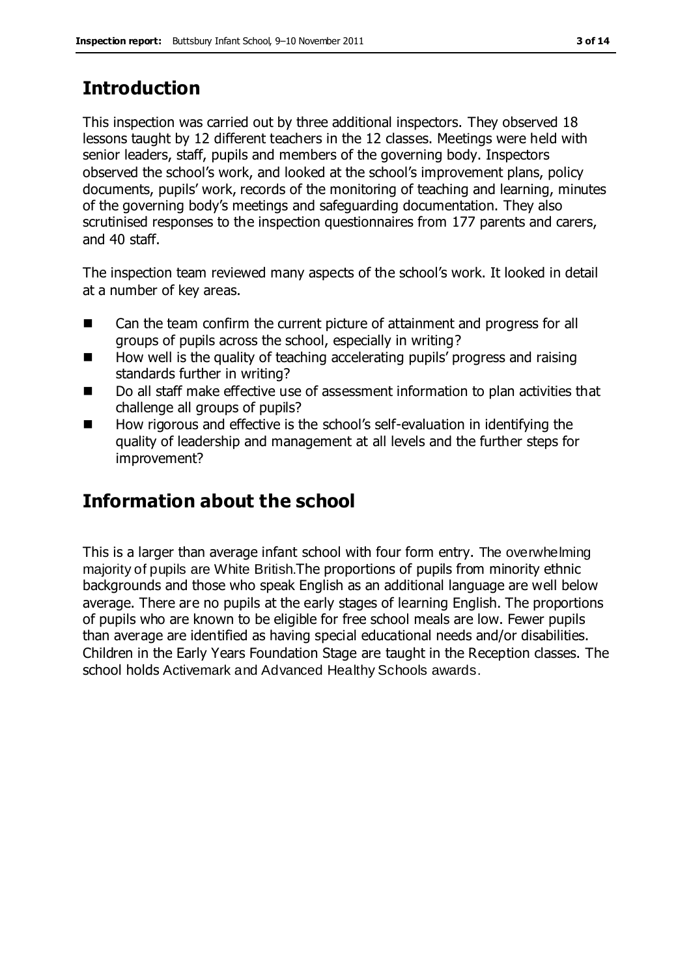# **Introduction**

This inspection was carried out by three additional inspectors. They observed 18 lessons taught by 12 different teachers in the 12 classes. Meetings were held with senior leaders, staff, pupils and members of the governing body. Inspectors observed the school's work, and looked at the school's improvement plans, policy documents, pupils' work, records of the monitoring of teaching and learning, minutes of the governing body's meetings and safeguarding documentation. They also scrutinised responses to the inspection questionnaires from 177 parents and carers, and 40 staff.

The inspection team reviewed many aspects of the school's work. It looked in detail at a number of key areas.

- Can the team confirm the current picture of attainment and progress for all groups of pupils across the school, especially in writing?
- How well is the quality of teaching accelerating pupils' progress and raising standards further in writing?
- Do all staff make effective use of assessment information to plan activities that challenge all groups of pupils?
- How rigorous and effective is the school's self-evaluation in identifying the quality of leadership and management at all levels and the further steps for improvement?

# **Information about the school**

This is a larger than average infant school with four form entry. The overwhelming majority of pupils are White British.The proportions of pupils from minority ethnic backgrounds and those who speak English as an additional language are well below average. There are no pupils at the early stages of learning English. The proportions of pupils who are known to be eligible for free school meals are low. Fewer pupils than average are identified as having special educational needs and/or disabilities. Children in the Early Years Foundation Stage are taught in the Reception classes. The school holds Activemark and Advanced Healthy Schools awards.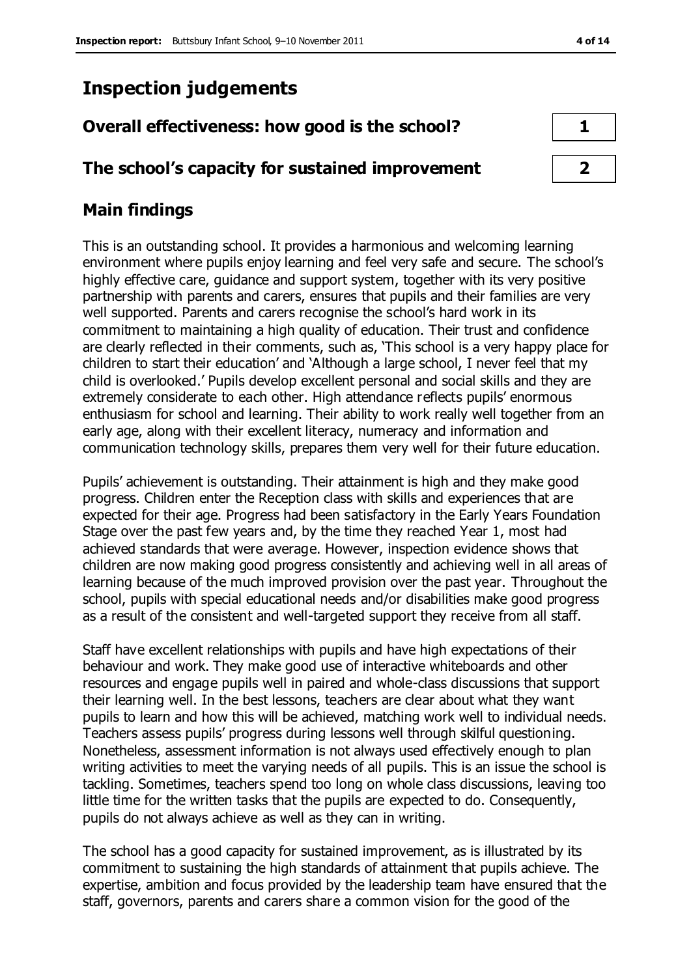# **Inspection judgements**

## **Overall effectiveness: how good is the school? 1**

## **The school's capacity for sustained improvement 2**

## **Main findings**

This is an outstanding school. It provides a harmonious and welcoming learning environment where pupils enjoy learning and feel very safe and secure. The school's highly effective care, guidance and support system, together with its very positive partnership with parents and carers, ensures that pupils and their families are very well supported. Parents and carers recognise the school's hard work in its commitment to maintaining a high quality of education. Their trust and confidence are clearly reflected in their comments, such as, 'This school is a very happy place for children to start their education' and 'Although a large school, I never feel that my child is overlooked.' Pupils develop excellent personal and social skills and they are extremely considerate to each other. High attendance reflects pupils' enormous enthusiasm for school and learning. Their ability to work really well together from an early age, along with their excellent literacy, numeracy and information and communication technology skills, prepares them very well for their future education.

Pupils' achievement is outstanding. Their attainment is high and they make good progress. Children enter the Reception class with skills and experiences that are expected for their age. Progress had been satisfactory in the Early Years Foundation Stage over the past few years and, by the time they reached Year 1, most had achieved standards that were average. However, inspection evidence shows that children are now making good progress consistently and achieving well in all areas of learning because of the much improved provision over the past year. Throughout the school, pupils with special educational needs and/or disabilities make good progress as a result of the consistent and well-targeted support they receive from all staff.

Staff have excellent relationships with pupils and have high expectations of their behaviour and work. They make good use of interactive whiteboards and other resources and engage pupils well in paired and whole-class discussions that support their learning well. In the best lessons, teachers are clear about what they want pupils to learn and how this will be achieved, matching work well to individual needs. Teachers assess pupils' progress during lessons well through skilful questioning. Nonetheless, assessment information is not always used effectively enough to plan writing activities to meet the varying needs of all pupils. This is an issue the school is tackling. Sometimes, teachers spend too long on whole class discussions, leaving too little time for the written tasks that the pupils are expected to do. Consequently, pupils do not always achieve as well as they can in writing.

The school has a good capacity for sustained improvement, as is illustrated by its commitment to sustaining the high standards of attainment that pupils achieve. The expertise, ambition and focus provided by the leadership team have ensured that the staff, governors, parents and carers share a common vision for the good of the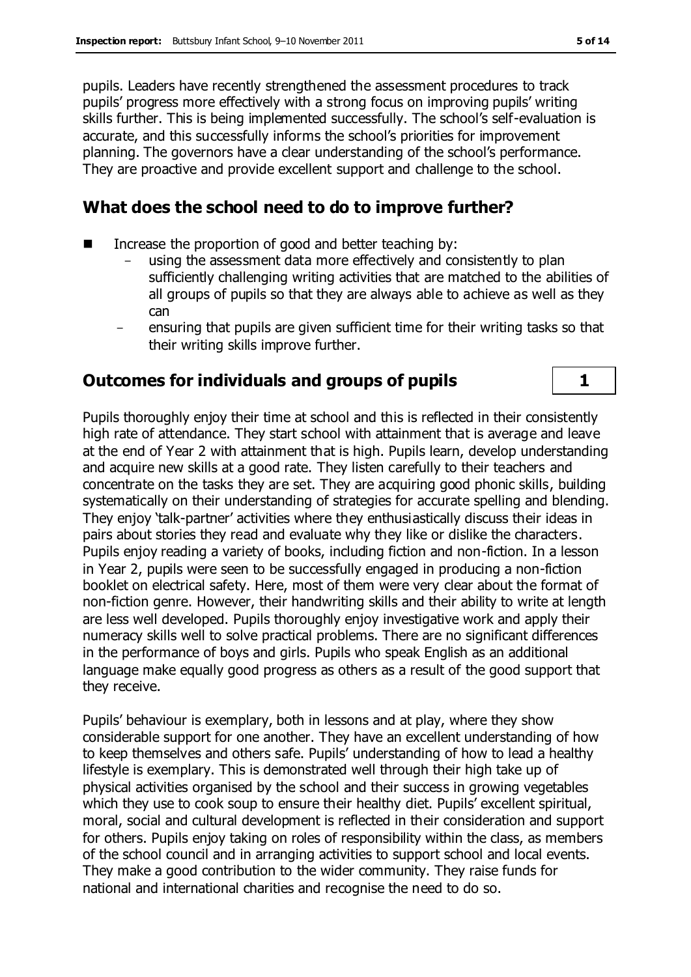pupils. Leaders have recently strengthened the assessment procedures to track pupils' progress more effectively with a strong focus on improving pupils' writing skills further. This is being implemented successfully. The school's self-evaluation is accurate, and this successfully informs the school's priorities for improvement planning. The governors have a clear understanding of the school's performance. They are proactive and provide excellent support and challenge to the school.

### **What does the school need to do to improve further?**

- Increase the proportion of good and better teaching by:
	- using the assessment data more effectively and consistently to plan sufficiently challenging writing activities that are matched to the abilities of all groups of pupils so that they are always able to achieve as well as they can
	- ensuring that pupils are given sufficient time for their writing tasks so that their writing skills improve further.

## **Outcomes for individuals and groups of pupils 1**

Pupils thoroughly enjoy their time at school and this is reflected in their consistently high rate of attendance. They start school with attainment that is average and leave at the end of Year 2 with attainment that is high. Pupils learn, develop understanding and acquire new skills at a good rate. They listen carefully to their teachers and concentrate on the tasks they are set. They are acquiring good phonic skills, building systematically on their understanding of strategies for accurate spelling and blending. They enjoy 'talk-partner' activities where they enthusiastically discuss their ideas in pairs about stories they read and evaluate why they like or dislike the characters. Pupils enjoy reading a variety of books, including fiction and non-fiction. In a lesson in Year 2, pupils were seen to be successfully engaged in producing a non-fiction booklet on electrical safety. Here, most of them were very clear about the format of non-fiction genre. However, their handwriting skills and their ability to write at length are less well developed. Pupils thoroughly enjoy investigative work and apply their numeracy skills well to solve practical problems. There are no significant differences in the performance of boys and girls. Pupils who speak English as an additional language make equally good progress as others as a result of the good support that they receive.

Pupils' behaviour is exemplary, both in lessons and at play, where they show considerable support for one another. They have an excellent understanding of how to keep themselves and others safe. Pupils' understanding of how to lead a healthy lifestyle is exemplary. This is demonstrated well through their high take up of physical activities organised by the school and their success in growing vegetables which they use to cook soup to ensure their healthy diet. Pupils' excellent spiritual, moral, social and cultural development is reflected in their consideration and support for others. Pupils enjoy taking on roles of responsibility within the class, as members of the school council and in arranging activities to support school and local events. They make a good contribution to the wider community. They raise funds for national and international charities and recognise the need to do so.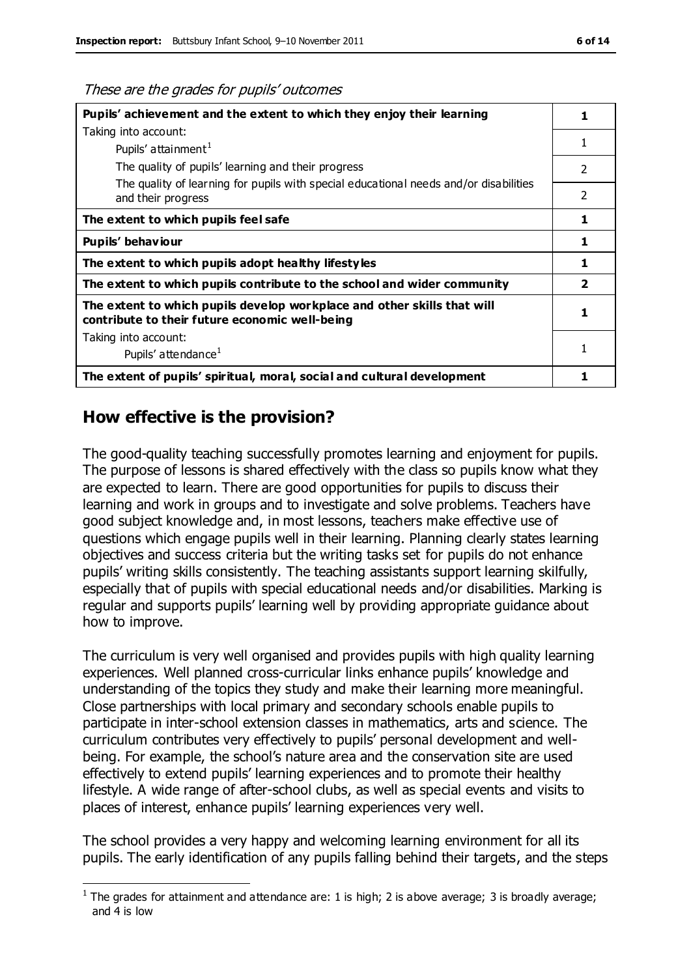These are the grades for pupils' outcomes

| Pupils' achievement and the extent to which they enjoy their learning                                                     |                         |
|---------------------------------------------------------------------------------------------------------------------------|-------------------------|
| Taking into account:                                                                                                      |                         |
| Pupils' attainment <sup>1</sup>                                                                                           | 1                       |
| The quality of pupils' learning and their progress                                                                        | $\mathcal{P}$           |
| The quality of learning for pupils with special educational needs and/or disabilities<br>and their progress               | $\mathcal{P}$           |
| The extent to which pupils feel safe                                                                                      | 1                       |
| Pupils' behaviour                                                                                                         | 1                       |
| The extent to which pupils adopt healthy lifestyles                                                                       | 1                       |
| The extent to which pupils contribute to the school and wider community                                                   | $\overline{\mathbf{2}}$ |
| The extent to which pupils develop workplace and other skills that will<br>contribute to their future economic well-being | 1                       |
| Taking into account:                                                                                                      |                         |
| Pupils' attendance <sup>1</sup>                                                                                           |                         |
| The extent of pupils' spiritual, moral, social and cultural development                                                   |                         |

#### **How effective is the provision?**

 $\overline{a}$ 

The good-quality teaching successfully promotes learning and enjoyment for pupils. The purpose of lessons is shared effectively with the class so pupils know what they are expected to learn. There are good opportunities for pupils to discuss their learning and work in groups and to investigate and solve problems. Teachers have good subject knowledge and, in most lessons, teachers make effective use of questions which engage pupils well in their learning. Planning clearly states learning objectives and success criteria but the writing tasks set for pupils do not enhance pupils' writing skills consistently. The teaching assistants support learning skilfully, especially that of pupils with special educational needs and/or disabilities. Marking is regular and supports pupils' learning well by providing appropriate guidance about how to improve.

The curriculum is very well organised and provides pupils with high quality learning experiences. Well planned cross-curricular links enhance pupils' knowledge and understanding of the topics they study and make their learning more meaningful. Close partnerships with local primary and secondary schools enable pupils to participate in inter-school extension classes in mathematics, arts and science. The curriculum contributes very effectively to pupils' personal development and wellbeing. For example, the school's nature area and the conservation site are used effectively to extend pupils' learning experiences and to promote their healthy lifestyle. A wide range of after-school clubs, as well as special events and visits to places of interest, enhance pupils' learning experiences very well.

The school provides a very happy and welcoming learning environment for all its pupils. The early identification of any pupils falling behind their targets, and the steps

<sup>&</sup>lt;sup>1</sup> The grades for attainment and attendance are: 1 is high; 2 is above average; 3 is broadly average; and 4 is low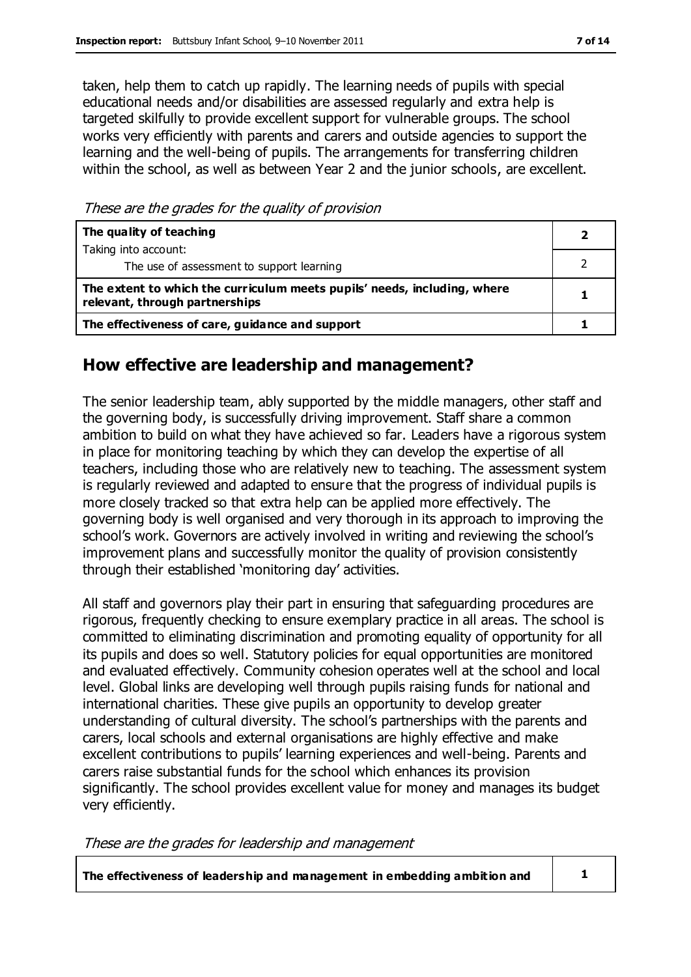taken, help them to catch up rapidly. The learning needs of pupils with special educational needs and/or disabilities are assessed regularly and extra help is targeted skilfully to provide excellent support for vulnerable groups. The school works very efficiently with parents and carers and outside agencies to support the learning and the well-being of pupils. The arrangements for transferring children within the school, as well as between Year 2 and the junior schools, are excellent.

These are the grades for the quality of provision

| The quality of teaching                                                                                    |  |
|------------------------------------------------------------------------------------------------------------|--|
| Taking into account:                                                                                       |  |
| The use of assessment to support learning                                                                  |  |
| The extent to which the curriculum meets pupils' needs, including, where<br>relevant, through partnerships |  |
| The effectiveness of care, guidance and support                                                            |  |

#### **How effective are leadership and management?**

The senior leadership team, ably supported by the middle managers, other staff and the governing body, is successfully driving improvement. Staff share a common ambition to build on what they have achieved so far. Leaders have a rigorous system in place for monitoring teaching by which they can develop the expertise of all teachers, including those who are relatively new to teaching. The assessment system is regularly reviewed and adapted to ensure that the progress of individual pupils is more closely tracked so that extra help can be applied more effectively. The governing body is well organised and very thorough in its approach to improving the school's work. Governors are actively involved in writing and reviewing the school's improvement plans and successfully monitor the quality of provision consistently through their established 'monitoring day' activities.

All staff and governors play their part in ensuring that safeguarding procedures are rigorous, frequently checking to ensure exemplary practice in all areas. The school is committed to eliminating discrimination and promoting equality of opportunity for all its pupils and does so well. Statutory policies for equal opportunities are monitored and evaluated effectively. Community cohesion operates well at the school and local level. Global links are developing well through pupils raising funds for national and international charities. These give pupils an opportunity to develop greater understanding of cultural diversity. The school's partnerships with the parents and carers, local schools and external organisations are highly effective and make excellent contributions to pupils' learning experiences and well-being. Parents and carers raise substantial funds for the school which enhances its provision significantly. The school provides excellent value for money and manages its budget very efficiently.

These are the grades for leadership and management

**The effectiveness of leadership and management in embedding ambition and 1**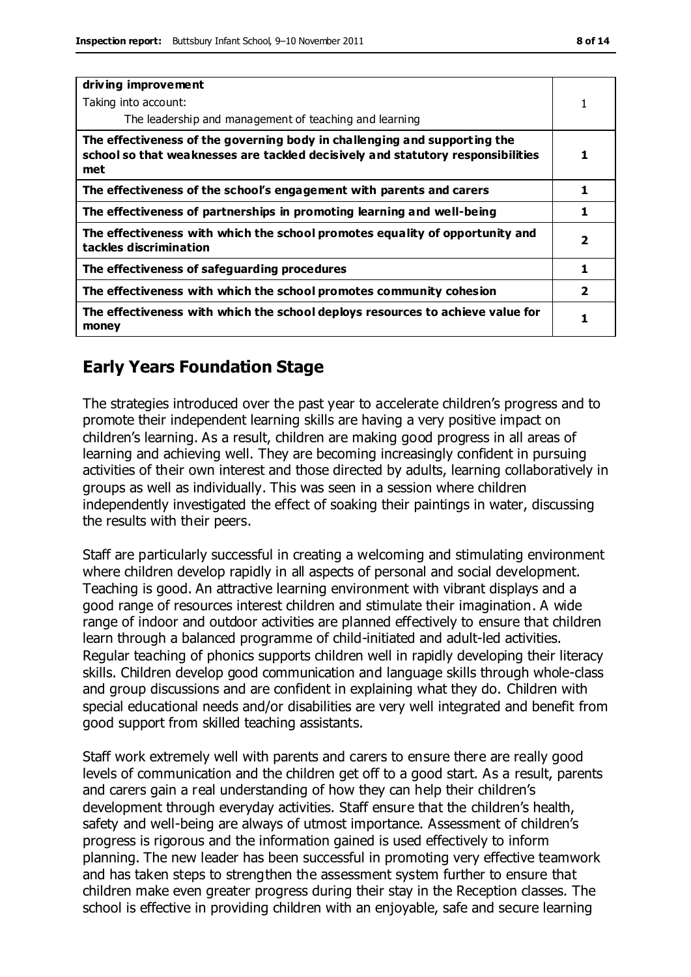| driving improvement                                                                                                                                                 |                         |
|---------------------------------------------------------------------------------------------------------------------------------------------------------------------|-------------------------|
| Taking into account:                                                                                                                                                |                         |
| The leadership and management of teaching and learning                                                                                                              |                         |
| The effectiveness of the governing body in challenging and supporting the<br>school so that weaknesses are tackled decisively and statutory responsibilities<br>met | 1                       |
| The effectiveness of the school's engagement with parents and carers                                                                                                | 1                       |
| The effectiveness of partnerships in promoting learning and well-being                                                                                              | 1                       |
| The effectiveness with which the school promotes equality of opportunity and<br>tackles discrimination                                                              | 2                       |
| The effectiveness of safeguarding procedures                                                                                                                        | 1                       |
| The effectiveness with which the school promotes community cohesion                                                                                                 | $\overline{\mathbf{2}}$ |
| The effectiveness with which the school deploys resources to achieve value for<br>money                                                                             |                         |

#### **Early Years Foundation Stage**

The strategies introduced over the past year to accelerate children's progress and to promote their independent learning skills are having a very positive impact on children's learning. As a result, children are making good progress in all areas of learning and achieving well. They are becoming increasingly confident in pursuing activities of their own interest and those directed by adults, learning collaboratively in groups as well as individually. This was seen in a session where children independently investigated the effect of soaking their paintings in water, discussing the results with their peers.

Staff are particularly successful in creating a welcoming and stimulating environment where children develop rapidly in all aspects of personal and social development. Teaching is good. An attractive learning environment with vibrant displays and a good range of resources interest children and stimulate their imagination. A wide range of indoor and outdoor activities are planned effectively to ensure that children learn through a balanced programme of child-initiated and adult-led activities. Regular teaching of phonics supports children well in rapidly developing their literacy skills. Children develop good communication and language skills through whole-class and group discussions and are confident in explaining what they do. Children with special educational needs and/or disabilities are very well integrated and benefit from good support from skilled teaching assistants.

Staff work extremely well with parents and carers to ensure there are really good levels of communication and the children get off to a good start. As a result, parents and carers gain a real understanding of how they can help their children's development through everyday activities. Staff ensure that the children's health, safety and well-being are always of utmost importance. Assessment of children's progress is rigorous and the information gained is used effectively to inform planning. The new leader has been successful in promoting very effective teamwork and has taken steps to strengthen the assessment system further to ensure that children make even greater progress during their stay in the Reception classes. The school is effective in providing children with an enjoyable, safe and secure learning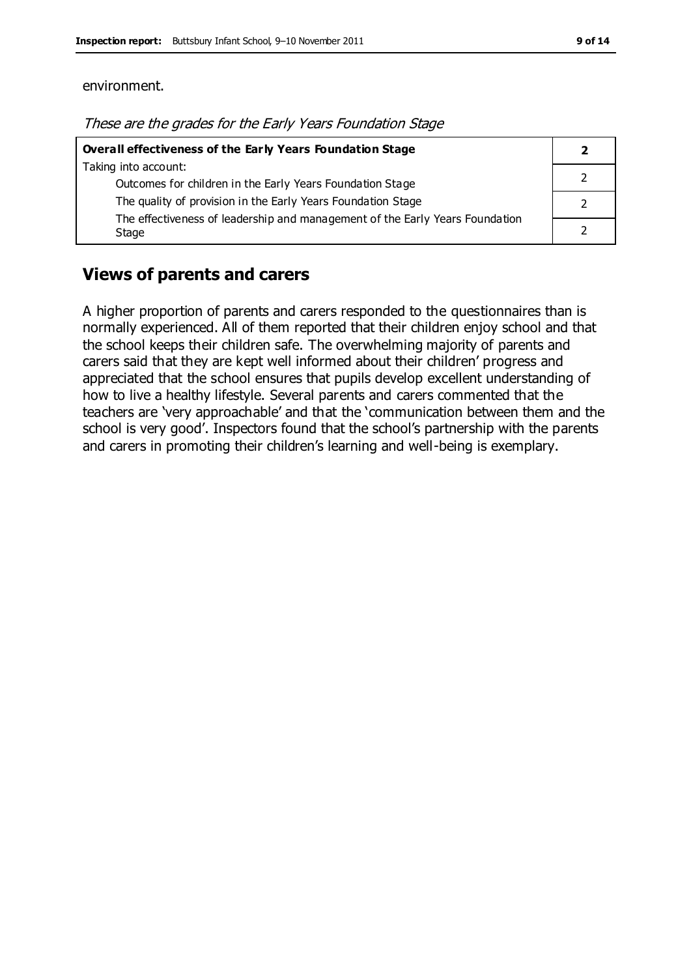#### environment.

| These are the grades for the Early Years Foundation Stage |  |
|-----------------------------------------------------------|--|
|-----------------------------------------------------------|--|

| Overall effectiveness of the Early Years Foundation Stage                             |  |
|---------------------------------------------------------------------------------------|--|
| Taking into account:                                                                  |  |
| Outcomes for children in the Early Years Foundation Stage                             |  |
| The quality of provision in the Early Years Foundation Stage                          |  |
| The effectiveness of leadership and management of the Early Years Foundation<br>Stage |  |

#### **Views of parents and carers**

A higher proportion of parents and carers responded to the questionnaires than is normally experienced. All of them reported that their children enjoy school and that the school keeps their children safe. The overwhelming majority of parents and carers said that they are kept well informed about their children' progress and appreciated that the school ensures that pupils develop excellent understanding of how to live a healthy lifestyle. Several parents and carers commented that the teachers are 'very approachable' and that the 'communication between them and the school is very good'. Inspectors found that the school's partnership with the parents and carers in promoting their children's learning and well-being is exemplary.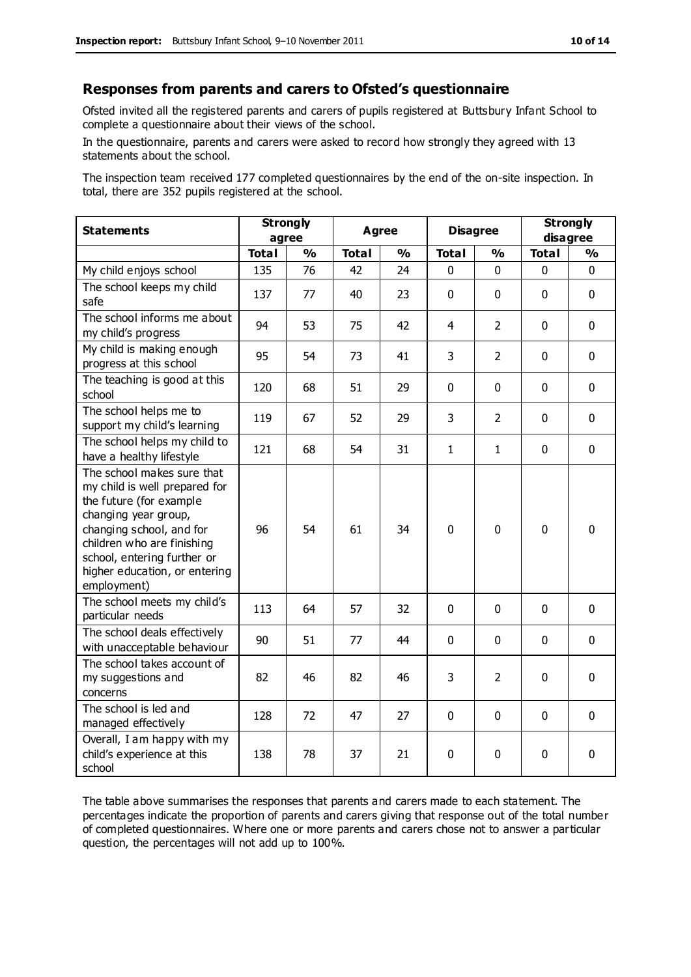#### **Responses from parents and carers to Ofsted's questionnaire**

Ofsted invited all the registered parents and carers of pupils registered at Buttsbury Infant School to complete a questionnaire about their views of the school.

In the questionnaire, parents and carers were asked to record how strongly they agreed with 13 statements about the school.

The inspection team received 177 completed questionnaires by the end of the on-site inspection. In total, there are 352 pupils registered at the school.

| <b>Statements</b>                                                                                                                                                                                                                                       | <b>Strongly</b><br>agree |               | <b>Agree</b> |               | <b>Disagree</b> |                | <b>Strongly</b><br>disagree |               |
|---------------------------------------------------------------------------------------------------------------------------------------------------------------------------------------------------------------------------------------------------------|--------------------------|---------------|--------------|---------------|-----------------|----------------|-----------------------------|---------------|
|                                                                                                                                                                                                                                                         | <b>Total</b>             | $\frac{0}{0}$ | <b>Total</b> | $\frac{1}{2}$ | <b>Total</b>    | $\frac{0}{0}$  | <b>Total</b>                | $\frac{1}{2}$ |
| My child enjoys school                                                                                                                                                                                                                                  | 135                      | 76            | 42           | 24            | 0               | 0              | 0                           | $\Omega$      |
| The school keeps my child<br>safe                                                                                                                                                                                                                       | 137                      | 77            | 40           | 23            | $\mathbf 0$     | $\mathbf 0$    | $\mathbf{0}$                | $\mathbf 0$   |
| The school informs me about<br>my child's progress                                                                                                                                                                                                      | 94                       | 53            | 75           | 42            | $\overline{4}$  | $\overline{2}$ | $\mathbf 0$                 | $\mathbf 0$   |
| My child is making enough<br>progress at this school                                                                                                                                                                                                    | 95                       | 54            | 73           | 41            | 3               | $\overline{2}$ | $\mathbf 0$                 | $\mathbf 0$   |
| The teaching is good at this<br>school                                                                                                                                                                                                                  | 120                      | 68            | 51           | 29            | 0               | $\mathbf 0$    | $\mathbf 0$                 | $\mathbf 0$   |
| The school helps me to<br>support my child's learning                                                                                                                                                                                                   | 119                      | 67            | 52           | 29            | 3               | 2              | $\mathbf 0$                 | $\mathbf 0$   |
| The school helps my child to<br>have a healthy lifestyle                                                                                                                                                                                                | 121                      | 68            | 54           | 31            | $\mathbf{1}$    | $\mathbf{1}$   | $\mathbf 0$                 | $\mathbf 0$   |
| The school makes sure that<br>my child is well prepared for<br>the future (for example<br>changing year group,<br>changing school, and for<br>children who are finishing<br>school, entering further or<br>higher education, or entering<br>employment) | 96                       | 54            | 61           | 34            | 0               | $\mathbf 0$    | $\mathbf 0$                 | $\mathbf 0$   |
| The school meets my child's<br>particular needs                                                                                                                                                                                                         | 113                      | 64            | 57           | 32            | $\mathbf 0$     | $\mathbf{0}$   | $\mathbf 0$                 | $\mathbf 0$   |
| The school deals effectively<br>with unacceptable behaviour                                                                                                                                                                                             | 90                       | 51            | 77           | 44            | $\mathbf 0$     | $\mathbf 0$    | $\mathbf 0$                 | $\mathbf 0$   |
| The school takes account of<br>my suggestions and<br>concerns                                                                                                                                                                                           | 82                       | 46            | 82           | 46            | 3               | $\overline{2}$ | $\mathbf 0$                 | $\mathbf 0$   |
| The school is led and<br>managed effectively                                                                                                                                                                                                            | 128                      | 72            | 47           | 27            | $\pmb{0}$       | $\mathbf 0$    | $\mathbf 0$                 | $\mathbf 0$   |
| Overall, I am happy with my<br>child's experience at this<br>school                                                                                                                                                                                     | 138                      | 78            | 37           | 21            | 0               | $\mathbf 0$    | $\mathbf 0$                 | 0             |

The table above summarises the responses that parents and carers made to each statement. The percentages indicate the proportion of parents and carers giving that response out of the total number of completed questionnaires. Where one or more parents and carers chose not to answer a particular question, the percentages will not add up to 100%.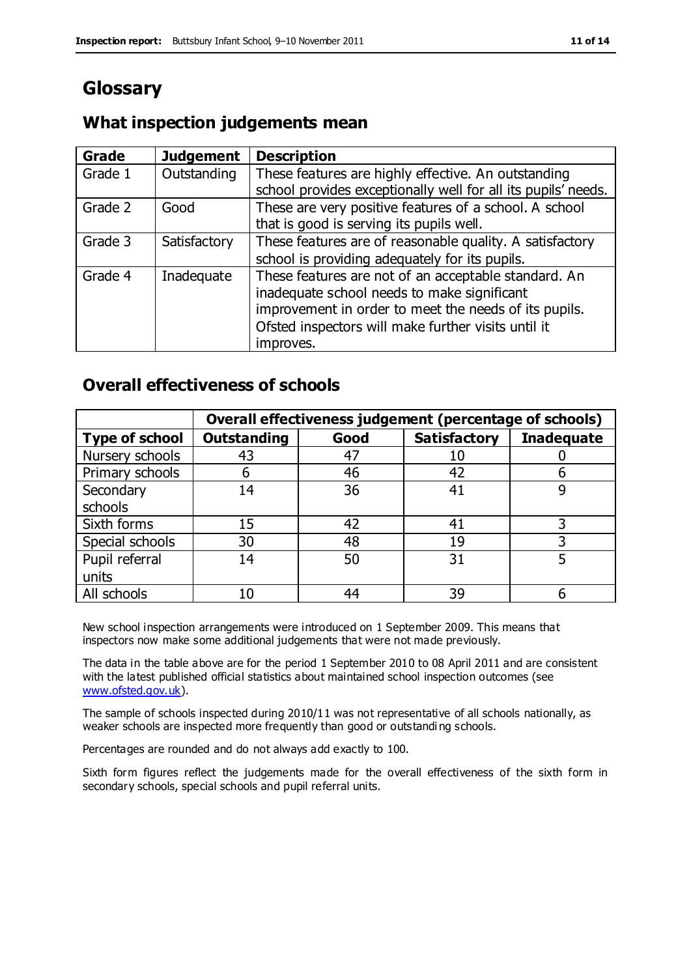# **Glossary**

#### **What inspection judgements mean**

| Grade   | <b>Judgement</b> | <b>Description</b>                                            |
|---------|------------------|---------------------------------------------------------------|
| Grade 1 | Outstanding      | These features are highly effective. An outstanding           |
|         |                  | school provides exceptionally well for all its pupils' needs. |
| Grade 2 | Good             | These are very positive features of a school. A school        |
|         |                  | that is good is serving its pupils well.                      |
| Grade 3 | Satisfactory     | These features are of reasonable quality. A satisfactory      |
|         |                  | school is providing adequately for its pupils.                |
| Grade 4 | Inadequate       | These features are not of an acceptable standard. An          |
|         |                  | inadequate school needs to make significant                   |
|         |                  | improvement in order to meet the needs of its pupils.         |
|         |                  | Ofsted inspectors will make further visits until it           |
|         |                  | improves.                                                     |

#### **Overall effectiveness of schools**

|                       |                    |      | Overall effectiveness judgement (percentage of schools) |                   |
|-----------------------|--------------------|------|---------------------------------------------------------|-------------------|
| <b>Type of school</b> | <b>Outstanding</b> | Good | <b>Satisfactory</b>                                     | <b>Inadequate</b> |
| Nursery schools       | 43                 | 47   | 10                                                      |                   |
| Primary schools       | 6                  | 46   | 42                                                      |                   |
| Secondary             | 14                 | 36   | 41                                                      |                   |
| schools               |                    |      |                                                         |                   |
| Sixth forms           | 15                 | 42   | 41                                                      | 3                 |
| Special schools       | 30                 | 48   | 19                                                      |                   |
| Pupil referral        | 14                 | 50   | 31                                                      |                   |
| units                 |                    |      |                                                         |                   |
| All schools           | 10                 | 44   | 39                                                      |                   |

New school inspection arrangements were introduced on 1 September 2009. This means that inspectors now make some additional judgements that were not made previously.

The data in the table above are for the period 1 September 2010 to 08 April 2011 and are consistent with the latest published official statistics about maintained school inspection outcomes (see [www.ofsted.gov.uk\)](http://www.ofsted.gov.uk/).

The sample of schools inspected during 2010/11 was not representative of all schools nationally, as weaker schools are inspected more frequently than good or outstandi ng schools.

Percentages are rounded and do not always add exactly to 100.

Sixth form figures reflect the judgements made for the overall effectiveness of the sixth form in secondary schools, special schools and pupil referral units.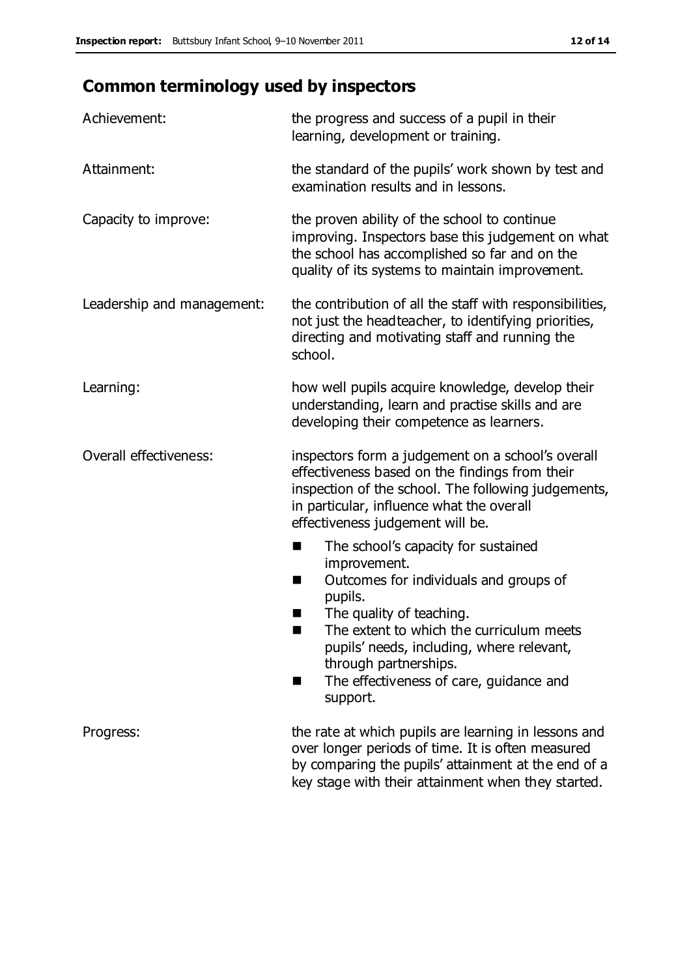# **Common terminology used by inspectors**

| Achievement:               | the progress and success of a pupil in their<br>learning, development or training.                                                                                                                                                                                                                                             |
|----------------------------|--------------------------------------------------------------------------------------------------------------------------------------------------------------------------------------------------------------------------------------------------------------------------------------------------------------------------------|
| Attainment:                | the standard of the pupils' work shown by test and<br>examination results and in lessons.                                                                                                                                                                                                                                      |
| Capacity to improve:       | the proven ability of the school to continue<br>improving. Inspectors base this judgement on what<br>the school has accomplished so far and on the<br>quality of its systems to maintain improvement.                                                                                                                          |
| Leadership and management: | the contribution of all the staff with responsibilities,<br>not just the headteacher, to identifying priorities,<br>directing and motivating staff and running the<br>school.                                                                                                                                                  |
| Learning:                  | how well pupils acquire knowledge, develop their<br>understanding, learn and practise skills and are<br>developing their competence as learners.                                                                                                                                                                               |
| Overall effectiveness:     | inspectors form a judgement on a school's overall<br>effectiveness based on the findings from their<br>inspection of the school. The following judgements,<br>in particular, influence what the overall<br>effectiveness judgement will be.                                                                                    |
|                            | The school's capacity for sustained<br>improvement.<br>Outcomes for individuals and groups of<br>ш<br>pupils.<br>The quality of teaching.<br>The extent to which the curriculum meets<br>a s<br>pupils' needs, including, where relevant,<br>through partnerships.<br>The effectiveness of care, guidance and<br>■<br>support. |
| Progress:                  | the rate at which pupils are learning in lessons and<br>over longer periods of time. It is often measured<br>by comparing the pupils' attainment at the end of a<br>key stage with their attainment when they started.                                                                                                         |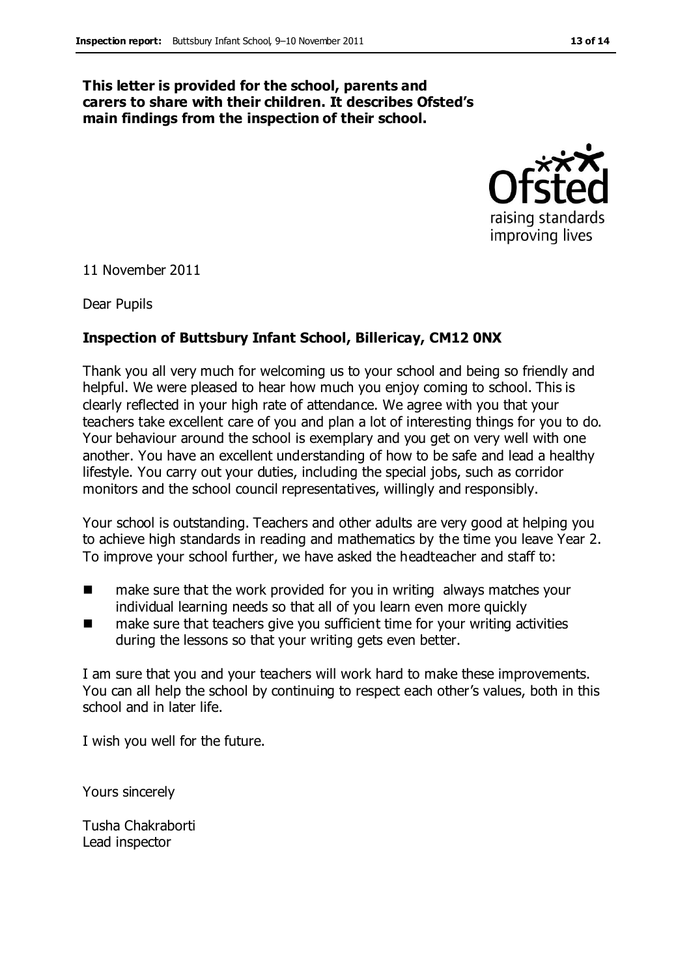#### **This letter is provided for the school, parents and carers to share with their children. It describes Ofsted's main findings from the inspection of their school.**



11 November 2011

Dear Pupils

#### **Inspection of Buttsbury Infant School, Billericay, CM12 0NX**

Thank you all very much for welcoming us to your school and being so friendly and helpful. We were pleased to hear how much you enjoy coming to school. This is clearly reflected in your high rate of attendance. We agree with you that your teachers take excellent care of you and plan a lot of interesting things for you to do. Your behaviour around the school is exemplary and you get on very well with one another. You have an excellent understanding of how to be safe and lead a healthy lifestyle. You carry out your duties, including the special jobs, such as corridor monitors and the school council representatives, willingly and responsibly.

Your school is outstanding. Teachers and other adults are very good at helping you to achieve high standards in reading and mathematics by the time you leave Year 2. To improve your school further, we have asked the headteacher and staff to:

- make sure that the work provided for you in writing always matches your individual learning needs so that all of you learn even more quickly
- make sure that teachers give you sufficient time for your writing activities during the lessons so that your writing gets even better.

I am sure that you and your teachers will work hard to make these improvements. You can all help the school by continuing to respect each other's values, both in this school and in later life.

I wish you well for the future.

Yours sincerely

Tusha Chakraborti Lead inspector